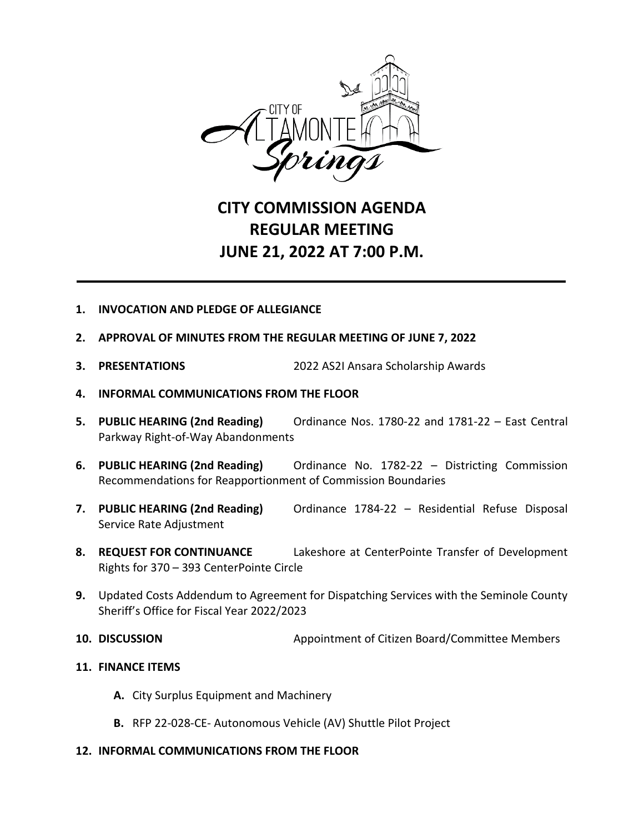

## **CITY COMMISSION AGENDA REGULAR MEETING JUNE 21, 2022 AT 7:00 P.M.**

- **1. INVOCATION AND PLEDGE OF ALLEGIANCE**
- **2. APPROVAL OF MINUTES FROM THE REGULAR MEETING OF JUNE 7, 2022**
- **3. PRESENTATIONS** 2022 AS2I Ansara Scholarship Awards
- **4. INFORMAL COMMUNICATIONS FROM THE FLOOR**
- **5. PUBLIC HEARING (2nd Reading)** Ordinance Nos. 1780-22 and 1781-22 East Central Parkway Right-of-Way Abandonments
- **6. PUBLIC HEARING (2nd Reading)** Ordinance No. 1782-22 Districting Commission Recommendations for Reapportionment of Commission Boundaries
- **7. PUBLIC HEARING (2nd Reading)** Ordinance 1784-22 Residential Refuse Disposal Service Rate Adjustment
- **8. REQUEST FOR CONTINUANCE** Lakeshore at CenterPointe Transfer of Development Rights for 370 – 393 CenterPointe Circle
- **9.** Updated Costs Addendum to Agreement for Dispatching Services with the Seminole County Sheriff's Office for Fiscal Year 2022/2023
- **10. DISCUSSION** Appointment of Citizen Board/Committee Members
- **11. FINANCE ITEMS**
	- **A.** City Surplus Equipment and Machinery
	- **B.** RFP 22-028-CE- Autonomous Vehicle (AV) Shuttle Pilot Project
- **12. INFORMAL COMMUNICATIONS FROM THE FLOOR**